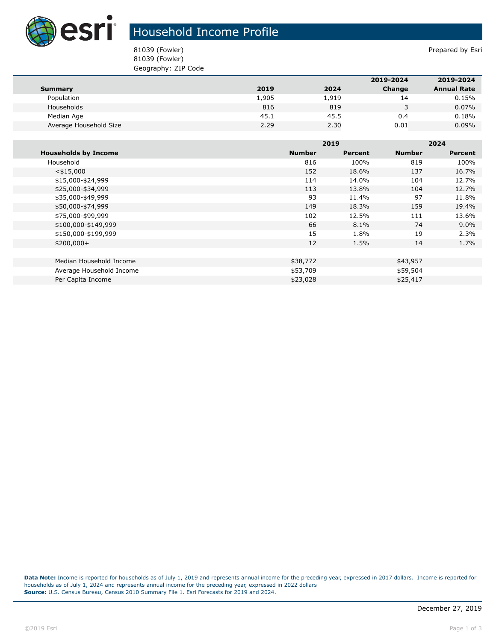

## Household Income Profile

81039 (Fowler) **Prepared by Esri** Prepared by Esri 81039 (Fowler) Geography: ZIP Code

|                        |       |       | 2019-2024 | 2019-2024          |
|------------------------|-------|-------|-----------|--------------------|
| Summary                | 2019  | 2024  | Change    | <b>Annual Rate</b> |
| Population             | 1,905 | 1,919 | 14        | 0.15%              |
| Households             | 816   | 819   |           | $0.07\%$           |
| Median Age             | 45.1  | 45.5  | 0.4       | 0.18%              |
| Average Household Size | 2.29  | 2.30  | 0.01      | $0.09\%$           |

|                             |               | 2019    |               | 2024           |  |
|-----------------------------|---------------|---------|---------------|----------------|--|
| <b>Households by Income</b> | <b>Number</b> | Percent | <b>Number</b> | <b>Percent</b> |  |
| Household                   | 816           | 100%    | 819           | 100%           |  |
| $<$ \$15,000                | 152           | 18.6%   | 137           | 16.7%          |  |
| \$15,000-\$24,999           | 114           | 14.0%   | 104           | 12.7%          |  |
| \$25,000-\$34,999           | 113           | 13.8%   | 104           | 12.7%          |  |
| \$35,000-\$49,999           | 93            | 11.4%   | 97            | 11.8%          |  |
| \$50,000-\$74,999           | 149           | 18.3%   | 159           | 19.4%          |  |
| \$75,000-\$99,999           | 102           | 12.5%   | 111           | 13.6%          |  |
| \$100,000-\$149,999         | 66            | 8.1%    | 74            | $9.0\%$        |  |
| \$150,000-\$199,999         | 15            | 1.8%    | 19            | 2.3%           |  |
| $$200,000+$                 | 12            | 1.5%    | 14            | 1.7%           |  |
|                             |               |         |               |                |  |
| Median Household Income     | \$38,772      |         | \$43,957      |                |  |
| Average Household Income    | \$53,709      |         | \$59,504      |                |  |
| Per Capita Income           | \$23,028      |         | \$25,417      |                |  |

**Data Note:** Income is reported for households as of July 1, 2019 and represents annual income for the preceding year, expressed in 2017 dollars. Income is reported for households as of July 1, 2024 and represents annual income for the preceding year, expressed in 2022 dollars **Source:** U.S. Census Bureau, Census 2010 Summary File 1. Esri Forecasts for 2019 and 2024.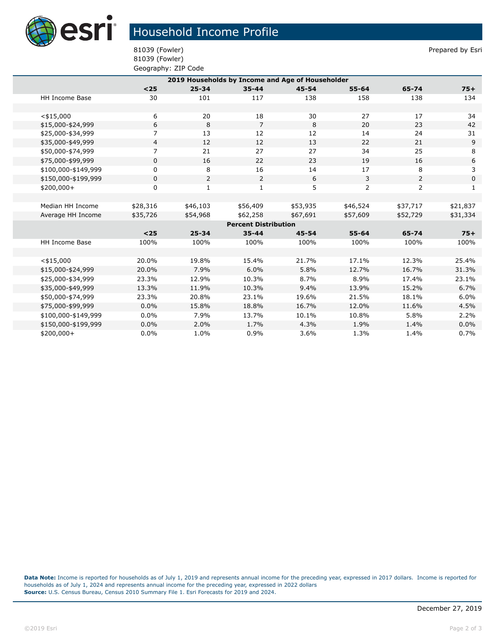

## Household Income Profile

81039 (Fowler) **Prepared by Esri** Prepared by Esri 81039 (Fowler) Geography: ZIP Code

| 2019 Households by Income and Age of Householder |                |              |                |           |                |                |                  |  |  |
|--------------------------------------------------|----------------|--------------|----------------|-----------|----------------|----------------|------------------|--|--|
|                                                  | $25$           | $25 - 34$    | $35 - 44$      | $45 - 54$ | $55 - 64$      | 65-74          | $75+$            |  |  |
| <b>HH Income Base</b>                            | 30             | 101          | 117            | 138       | 158            | 138            | 134              |  |  |
|                                                  |                |              |                |           |                |                |                  |  |  |
| $<$ \$15,000                                     | 6              | 20           | 18             | 30        | 27             | 17             | 34               |  |  |
| \$15,000-\$24,999                                | 6              | 8            | $\overline{7}$ | 8         | 20             | 23             | 42               |  |  |
| \$25,000-\$34,999                                | $\overline{7}$ | 13           | 12             | 12        | 14             | 24             | 31               |  |  |
| \$35,000-\$49,999                                | 4              | 12           | 12             | 13        | 22             | 21             | 9                |  |  |
| \$50,000-\$74,999                                | $\overline{7}$ | 21           | 27             | 27        | 34             | 25             | 8                |  |  |
| \$75,000-\$99,999                                | $\mathbf 0$    | 16           | 22             | 23        | 19             | 16             | $\boldsymbol{6}$ |  |  |
| \$100,000-\$149,999                              | 0              | 8            | 16             | 14        | 17             | 8              | 3                |  |  |
| \$150,000-\$199,999                              | $\mathbf 0$    | 2            | $\overline{2}$ | 6         | 3              | $\overline{2}$ | $\mathsf 0$      |  |  |
| \$200,000+                                       | 0              | $\mathbf{1}$ | $\mathbf{1}$   | 5         | $\overline{2}$ | $\overline{2}$ | $\mathbf{1}$     |  |  |
|                                                  |                |              |                |           |                |                |                  |  |  |
| Median HH Income                                 | \$28,316       | \$46,103     | \$56,409       | \$53,935  | \$46,524       | \$37,717       | \$21,837         |  |  |
| Average HH Income                                | \$35,726       | \$54,968     | \$62,258       | \$67,691  | \$57,609       | \$52,729       | \$31,334         |  |  |
| <b>Percent Distribution</b>                      |                |              |                |           |                |                |                  |  |  |
|                                                  | $<25$          | $25 - 34$    | $35 - 44$      | $45 - 54$ | $55 - 64$      | 65-74          | $75+$            |  |  |
| HH Income Base                                   | 100%           | 100%         | 100%           | 100%      | 100%           | 100%           | 100%             |  |  |
|                                                  |                |              |                |           |                |                |                  |  |  |
| $<$ \$15,000                                     | 20.0%          | 19.8%        | 15.4%          | 21.7%     | 17.1%          | 12.3%          | 25.4%            |  |  |
| \$15,000-\$24,999                                | 20.0%          | 7.9%         | 6.0%           | 5.8%      | 12.7%          | 16.7%          | 31.3%            |  |  |
| \$25,000-\$34,999                                | 23.3%          | 12.9%        | 10.3%          | 8.7%      | 8.9%           | 17.4%          | 23.1%            |  |  |
| \$35,000-\$49,999                                | 13.3%          | 11.9%        | 10.3%          | 9.4%      | 13.9%          | 15.2%          | 6.7%             |  |  |
| \$50,000-\$74,999                                | 23.3%          | 20.8%        | 23.1%          | 19.6%     | 21.5%          | 18.1%          | 6.0%             |  |  |
| \$75,000-\$99,999                                | 0.0%           | 15.8%        | 18.8%          | 16.7%     | 12.0%          | 11.6%          | 4.5%             |  |  |
| \$100,000-\$149,999                              | 0.0%           | 7.9%         | 13.7%          | 10.1%     | 10.8%          | 5.8%           | 2.2%             |  |  |
| \$150,000-\$199,999                              | 0.0%           | 2.0%         | 1.7%           | 4.3%      | 1.9%           | 1.4%           | $0.0\%$          |  |  |
| \$200,000+                                       | 0.0%           | 1.0%         | 0.9%           | 3.6%      | 1.3%           | 1.4%           | 0.7%             |  |  |

**Data Note:** Income is reported for households as of July 1, 2019 and represents annual income for the preceding year, expressed in 2017 dollars. Income is reported for households as of July 1, 2024 and represents annual income for the preceding year, expressed in 2022 dollars **Source:** U.S. Census Bureau, Census 2010 Summary File 1. Esri Forecasts for 2019 and 2024.